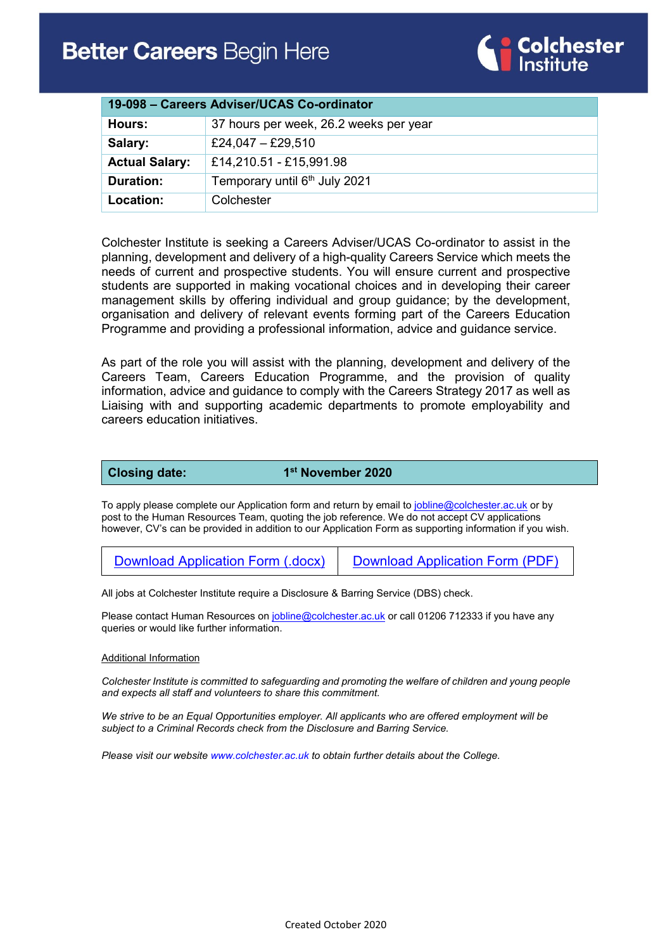

| 19-098 – Careers Adviser/UCAS Co-ordinator |                                           |
|--------------------------------------------|-------------------------------------------|
| Hours:                                     | 37 hours per week, 26.2 weeks per year    |
| Salary:                                    | £24,047 - £29,510                         |
| <b>Actual Salary:</b>                      | £14,210.51 - £15,991.98                   |
| <b>Duration:</b>                           | Temporary until 6 <sup>th</sup> July 2021 |
| Location:                                  | Colchester                                |

Colchester Institute is seeking a Careers Adviser/UCAS Co-ordinator to assist in the planning, development and delivery of a high-quality Careers Service which meets the needs of current and prospective students. You will ensure current and prospective students are supported in making vocational choices and in developing their career management skills by offering individual and group guidance; by the development, organisation and delivery of relevant events forming part of the Careers Education Programme and providing a professional information, advice and guidance service.

As part of the role you will assist with the planning, development and delivery of the Careers Team, Careers Education Programme, and the provision of quality information, advice and guidance to comply with the Careers Strategy 2017 as well as Liaising with and supporting academic departments to promote employability and careers education initiatives.

**Closing date:** 1st November 2020

To apply please complete our Application form and return by email to [jobline@colchester.ac.uk](mailto:jobline@colchester.ac.uk) or by post to the Human Resources Team, quoting the job reference. We do not accept CV applications however, CV's can be provided in addition to our Application Form as supporting information if you wish.

[Download Application Form \(.docx\)](https://www.colchester.ac.uk/wp-content/uploads/2020/02/Job-Application-Form-Feb-2020.docx) [Download Application Form \(PDF\)](https://www.colchester.ac.uk/wp-content/uploads/2020/02/Job-Application-Form-Feb-2020.pdf)

All jobs at Colchester Institute require a Disclosure & Barring Service (DBS) check.

Please contact Human Resources on [jobline@colchester.ac.uk](mailto:jobline@colchester.ac.uk) or call 01206 712333 if you have any queries or would like further information.

#### Additional Information

*Colchester Institute is committed to safeguarding and promoting the welfare of children and young people and expects all staff and volunteers to share this commitment.*

*We strive to be an Equal Opportunities employer. All applicants who are offered employment will be subject to a Criminal Records check from the Disclosure and Barring Service.*

*Please visit our websit[e www.colchester.ac.uk](http://www.colchester.ac.uk/) to obtain further details about the College.*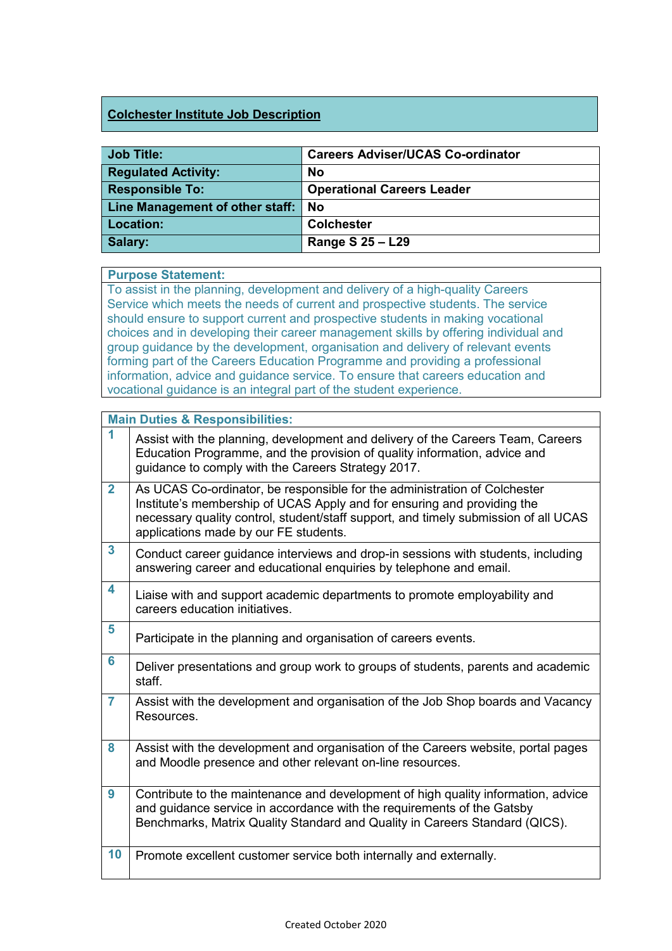### **Colchester Institute Job Description**

| <b>Job Title:</b>                    | <b>Careers Adviser/UCAS Co-ordinator</b> |
|--------------------------------------|------------------------------------------|
| <b>Regulated Activity:</b>           | No                                       |
| <b>Responsible To:</b>               | <b>Operational Careers Leader</b>        |
| Line Management of other staff:   No |                                          |
| Location:                            | <b>Colchester</b>                        |
| Salary:                              | Range S 25 - L29                         |

#### **Purpose Statement:**

To assist in the planning, development and delivery of a high-quality Careers Service which meets the needs of current and prospective students. The service should ensure to support current and prospective students in making vocational choices and in developing their career management skills by offering individual and group guidance by the development, organisation and delivery of relevant events forming part of the Careers Education Programme and providing a professional information, advice and guidance service. To ensure that careers education and vocational guidance is an integral part of the student experience.

|                         | <b>Main Duties &amp; Responsibilities:</b>                                                                                                                                                                                                                                           |
|-------------------------|--------------------------------------------------------------------------------------------------------------------------------------------------------------------------------------------------------------------------------------------------------------------------------------|
| 1                       | Assist with the planning, development and delivery of the Careers Team, Careers<br>Education Programme, and the provision of quality information, advice and<br>guidance to comply with the Careers Strategy 2017.                                                                   |
| $\overline{2}$          | As UCAS Co-ordinator, be responsible for the administration of Colchester<br>Institute's membership of UCAS Apply and for ensuring and providing the<br>necessary quality control, student/staff support, and timely submission of all UCAS<br>applications made by our FE students. |
| $\overline{\mathbf{3}}$ | Conduct career guidance interviews and drop-in sessions with students, including<br>answering career and educational enquiries by telephone and email.                                                                                                                               |
| 4                       | Liaise with and support academic departments to promote employability and<br>careers education initiatives.                                                                                                                                                                          |
| 5                       | Participate in the planning and organisation of careers events.                                                                                                                                                                                                                      |
| 6                       | Deliver presentations and group work to groups of students, parents and academic<br>staff.                                                                                                                                                                                           |
| $\overline{7}$          | Assist with the development and organisation of the Job Shop boards and Vacancy<br>Resources.                                                                                                                                                                                        |
| 8                       | Assist with the development and organisation of the Careers website, portal pages<br>and Moodle presence and other relevant on-line resources.                                                                                                                                       |
| 9                       | Contribute to the maintenance and development of high quality information, advice<br>and guidance service in accordance with the requirements of the Gatsby<br>Benchmarks, Matrix Quality Standard and Quality in Careers Standard (QICS).                                           |
| 10                      | Promote excellent customer service both internally and externally.                                                                                                                                                                                                                   |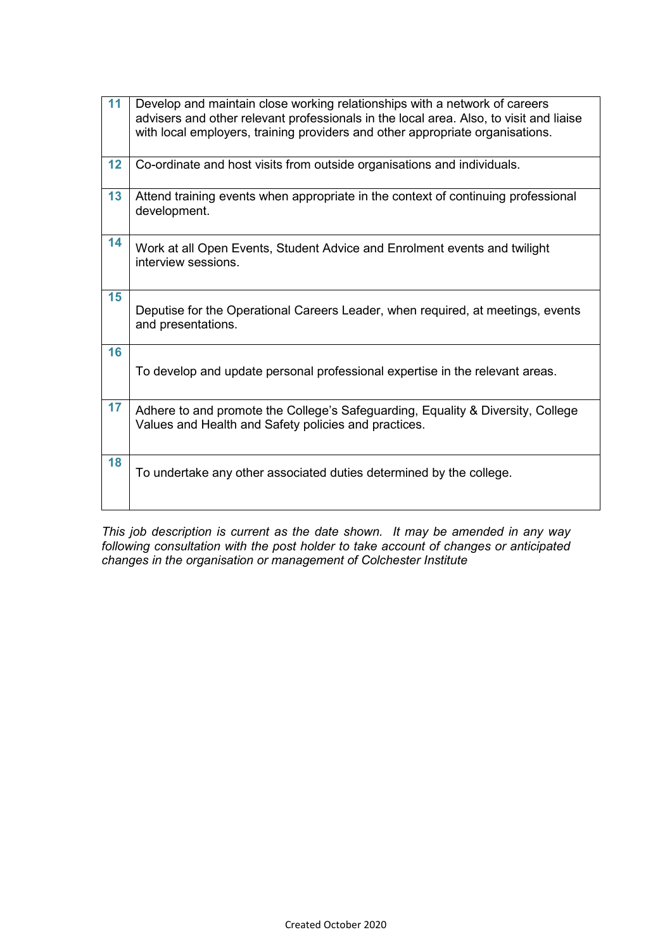| 11 | Develop and maintain close working relationships with a network of careers<br>advisers and other relevant professionals in the local area. Also, to visit and liaise<br>with local employers, training providers and other appropriate organisations. |
|----|-------------------------------------------------------------------------------------------------------------------------------------------------------------------------------------------------------------------------------------------------------|
| 12 | Co-ordinate and host visits from outside organisations and individuals.                                                                                                                                                                               |
| 13 | Attend training events when appropriate in the context of continuing professional<br>development.                                                                                                                                                     |
| 14 | Work at all Open Events, Student Advice and Enrolment events and twilight<br>interview sessions.                                                                                                                                                      |
| 15 | Deputise for the Operational Careers Leader, when required, at meetings, events<br>and presentations.                                                                                                                                                 |
| 16 | To develop and update personal professional expertise in the relevant areas.                                                                                                                                                                          |
| 17 | Adhere to and promote the College's Safeguarding, Equality & Diversity, College<br>Values and Health and Safety policies and practices.                                                                                                               |
| 18 | To undertake any other associated duties determined by the college.                                                                                                                                                                                   |

*This job description is current as the date shown. It may be amended in any way following consultation with the post holder to take account of changes or anticipated changes in the organisation or management of Colchester Institute*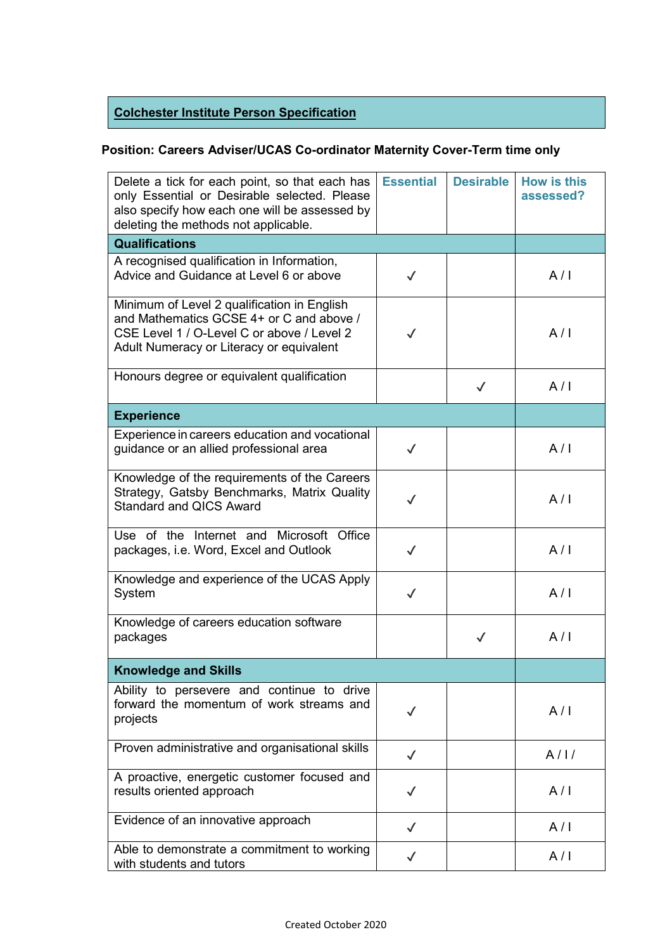# **Colchester Institute Person Specification**

## **Position: Careers Adviser/UCAS Co-ordinator Maternity Cover-Term time only**

| Delete a tick for each point, so that each has<br>only Essential or Desirable selected. Please<br>also specify how each one will be assessed by<br>deleting the methods not applicable. | <b>Essential</b> | <b>Desirable</b> | <b>How is this</b><br>assessed? |
|-----------------------------------------------------------------------------------------------------------------------------------------------------------------------------------------|------------------|------------------|---------------------------------|
| <b>Qualifications</b>                                                                                                                                                                   |                  |                  |                                 |
| A recognised qualification in Information,<br>Advice and Guidance at Level 6 or above                                                                                                   | $\checkmark$     |                  | A/I                             |
| Minimum of Level 2 qualification in English<br>and Mathematics GCSE 4+ or C and above /<br>CSE Level 1 / O-Level C or above / Level 2<br>Adult Numeracy or Literacy or equivalent       | $\checkmark$     |                  | A/I                             |
| Honours degree or equivalent qualification                                                                                                                                              |                  | $\checkmark$     | A/I                             |
| <b>Experience</b>                                                                                                                                                                       |                  |                  |                                 |
| Experience in careers education and vocational<br>guidance or an allied professional area                                                                                               | $\checkmark$     |                  | A/I                             |
| Knowledge of the requirements of the Careers<br>Strategy, Gatsby Benchmarks, Matrix Quality<br><b>Standard and QICS Award</b>                                                           | $\checkmark$     |                  | A/I                             |
| Use of the Internet and Microsoft Office<br>packages, i.e. Word, Excel and Outlook                                                                                                      | $\checkmark$     |                  | A/I                             |
| Knowledge and experience of the UCAS Apply<br>System                                                                                                                                    | $\checkmark$     |                  | A/I                             |
| Knowledge of careers education software<br>packages                                                                                                                                     |                  | $\checkmark$     | A/I                             |
| <b>Knowledge and Skills</b>                                                                                                                                                             |                  |                  |                                 |
| Ability to persevere and continue to drive<br>forward the momentum of work streams and<br>projects                                                                                      | $\checkmark$     |                  | A/I                             |
| Proven administrative and organisational skills                                                                                                                                         | $\checkmark$     |                  | A/1/                            |
| A proactive, energetic customer focused and<br>results oriented approach                                                                                                                | $\checkmark$     |                  | A/I                             |
| Evidence of an innovative approach                                                                                                                                                      | $\checkmark$     |                  | A/I                             |
| Able to demonstrate a commitment to working<br>with students and tutors                                                                                                                 | $\checkmark$     |                  | A/I                             |